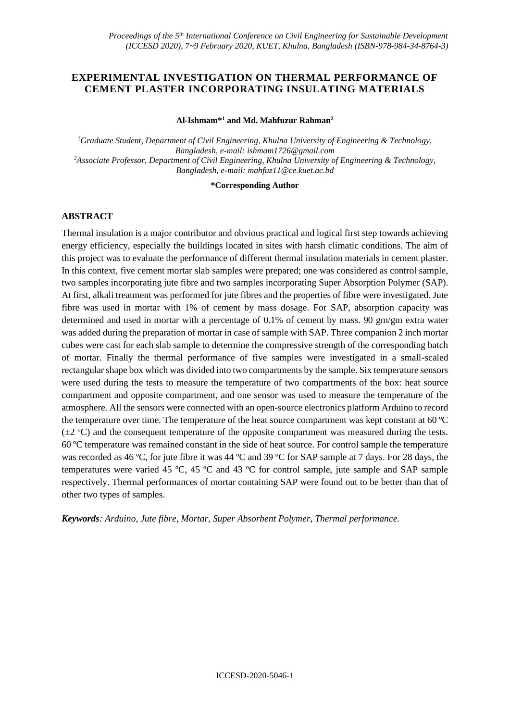## **EXPERIMENTAL INVESTIGATION ON THERMAL PERFORMANCE OF CEMENT PLASTER INCORPORATING INSULATING MATERIALS**

#### **Al-Ishmam\*<sup>1</sup> and Md. Mahfuzur Rahman<sup>2</sup>**

*<sup>1</sup>Graduate Student, Department of Civil Engineering, Khulna University of Engineering & Technology, Bangladesh, e-mail: [ishmam1726@gmail.com](mailto:ishmam1726@gmail.com) <sup>2</sup>Associate Professor, Department of Civil Engineering, Khulna University of Engineering & Technology, Bangladesh, e-mail: [mahfuz11@ce.kuet.ac.bd](mailto:mahfuz11@ce.kuet.ac.bd)*

**\*Corresponding Author**

## **ABSTRACT**

Thermal insulation is a major contributor and obvious practical and logical first step towards achieving energy efficiency, especially the buildings located in sites with harsh climatic conditions. The aim of this project was to evaluate the performance of different thermal insulation materials in cement plaster. In this context, five cement mortar slab samples were prepared; one was considered as control sample, two samples incorporating jute fibre and two samples incorporating Super Absorption Polymer (SAP). At first, alkali treatment was performed for jute fibres and the properties of fibre were investigated. Jute fibre was used in mortar with 1% of cement by mass dosage. For SAP, absorption capacity was determined and used in mortar with a percentage of 0.1% of cement by mass. 90 gm/gm extra water was added during the preparation of mortar in case of sample with SAP. Three companion 2 inch mortar cubes were cast for each slab sample to determine the compressive strength of the corresponding batch of mortar. Finally the thermal performance of five samples were investigated in a small-scaled rectangular shape box which was divided into two compartments by the sample. Six temperature sensors were used during the tests to measure the temperature of two compartments of the box: heat source compartment and opposite compartment, and one sensor was used to measure the temperature of the atmosphere. All the sensors were connected with an open-source electronics platform Arduino to record the temperature over time. The temperature of the heat source compartment was kept constant at 60 ºC  $(\pm 2 \degree C)$  and the consequent temperature of the opposite compartment was measured during the tests. 60 ºC temperature was remained constant in the side of heat source. For control sample the temperature was recorded as 46 °C, for jute fibre it was 44 °C and 39 °C for SAP sample at 7 days. For 28 days, the temperatures were varied 45 ºC, 45 ºC and 43 ºC for control sample, jute sample and SAP sample respectively. Thermal performances of mortar containing SAP were found out to be better than that of other two types of samples.

*Keywords: Arduino, Jute fibre, Mortar, Super Absorbent Polymer, Thermal performance.*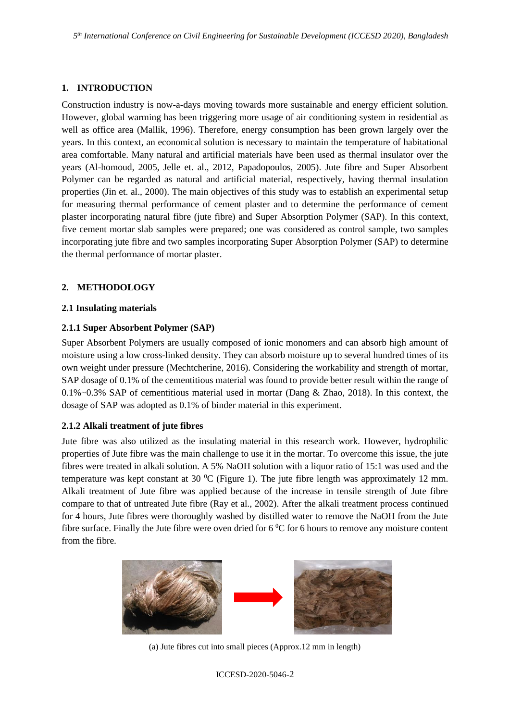## **1. INTRODUCTION**

Construction industry is now-a-days moving towards more sustainable and energy efficient solution. However, global warming has been triggering more usage of air conditioning system in residential as well as office area (Mallik, 1996). Therefore, energy consumption has been grown largely over the years. In this context, an economical solution is necessary to maintain the temperature of habitational area comfortable. Many natural and artificial materials have been used as thermal insulator over the years (Al-homoud, 2005, Jelle et. al., 2012, Papadopoulos, 2005). Jute fibre and Super Absorbent Polymer can be regarded as natural and artificial material, respectively, having thermal insulation properties (Jin et. al., 2000). The main objectives of this study was to establish an experimental setup for measuring thermal performance of cement plaster and to determine the performance of cement plaster incorporating natural fibre (jute fibre) and Super Absorption Polymer (SAP). In this context, five cement mortar slab samples were prepared; one was considered as control sample, two samples incorporating jute fibre and two samples incorporating Super Absorption Polymer (SAP) to determine the thermal performance of mortar plaster.

## **2. METHODOLOGY**

## **2.1 Insulating materials**

## **2.1.1 Super Absorbent Polymer (SAP)**

Super Absorbent Polymers are usually composed of ionic monomers and can absorb high amount of moisture using a low cross-linked density. They can absorb moisture up to several hundred times of its own weight under pressure (Mechtcherine, 2016). Considering the workability and strength of mortar, SAP dosage of 0.1% of the cementitious material was found to provide better result within the range of 0.1%~0.3% SAP of cementitious material used in mortar (Dang & Zhao, 2018). In this context, the dosage of SAP was adopted as 0.1% of binder material in this experiment.

## **2.1.2 Alkali treatment of jute fibres**

Jute fibre was also utilized as the insulating material in this research work. However, hydrophilic properties of Jute fibre was the main challenge to use it in the mortar. To overcome this issue, the jute fibres were treated in alkali solution. A 5% NaOH solution with a liquor ratio of 15:1 was used and the temperature was kept constant at 30  $^{\circ}$ C (Figure 1). The jute fibre length was approximately 12 mm. Alkali treatment of Jute fibre was applied because of the increase in tensile strength of Jute fibre compare to that of untreated Jute fibre (Ray et al., 2002). After the alkali treatment process continued for 4 hours, Jute fibres were thoroughly washed by distilled water to remove the NaOH from the Jute fibre surface. Finally the Jute fibre were oven dried for  $6\degree$ C for 6 hours to remove any moisture content from the fibre.



(a) Jute fibres cut into small pieces (Approx.12 mm in length)

ICCESD-2020-5046-2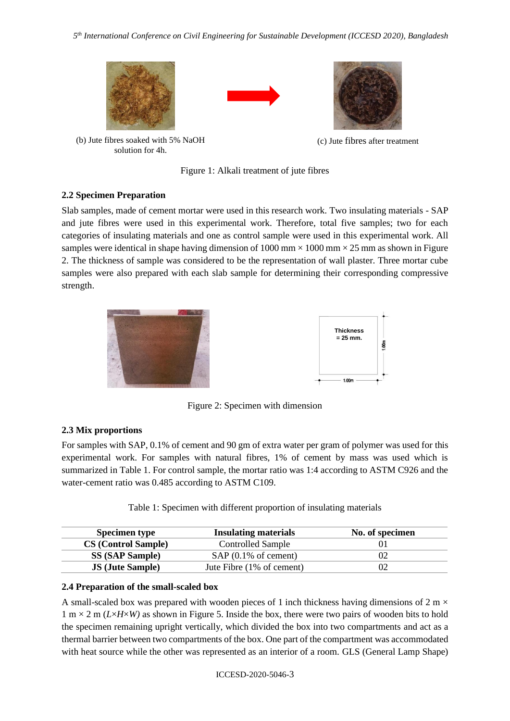





(b) Jute fibres soaked with 5% NaOH solution for 4h.

(c) Jute fibres after treatment

Figure 1: Alkali treatment of jute fibres

## **2.2 Specimen Preparation**

Slab samples, made of cement mortar were used in this research work. Two insulating materials - SAP and jute fibres were used in this experimental work. Therefore, total five samples; two for each categories of insulating materials and one as control sample were used in this experimental work. All samples were identical in shape having dimension of 1000 mm  $\times$  1000 mm  $\times$  25 mm as shown in Figure 2. The thickness of sample was considered to be the representation of wall plaster. Three mortar cube samples were also prepared with each slab sample for determining their corresponding compressive strength.



Figure 2: Specimen with dimension

# **2.3 Mix proportions**

For samples with SAP, 0.1% of cement and 90 gm of extra water per gram of polymer was used for this experimental work. For samples with natural fibres, 1% of cement by mass was used which is summarized in Table 1. For control sample, the mortar ratio was 1:4 according to ASTM C926 and the water-cement ratio was 0.485 according to ASTM C109.

| <b>Specimen type</b>       | <b>Insulating materials</b>    | No. of specimen |
|----------------------------|--------------------------------|-----------------|
| <b>CS</b> (Control Sample) | <b>Controlled Sample</b>       |                 |
| <b>SS (SAP Sample)</b>     | $SAP(0.1\% \text{ of cement})$ | 02              |
| <b>JS</b> (Jute Sample)    | Jute Fibre (1% of cement)      | 02              |

Table 1: Specimen with different proportion of insulating materials

## **2.4 Preparation of the small-scaled box**

A small-scaled box was prepared with wooden pieces of 1 inch thickness having dimensions of 2 m  $\times$  $1 \text{ m} \times 2 \text{ m}$  (*L*×*H*×*W*) as shown in Figure 5. Inside the box, there were two pairs of wooden bits to hold the specimen remaining upright vertically, which divided the box into two compartments and act as a thermal barrier between two compartments of the box. One part of the compartment was accommodated with heat source while the other was represented as an interior of a room. GLS (General Lamp Shape)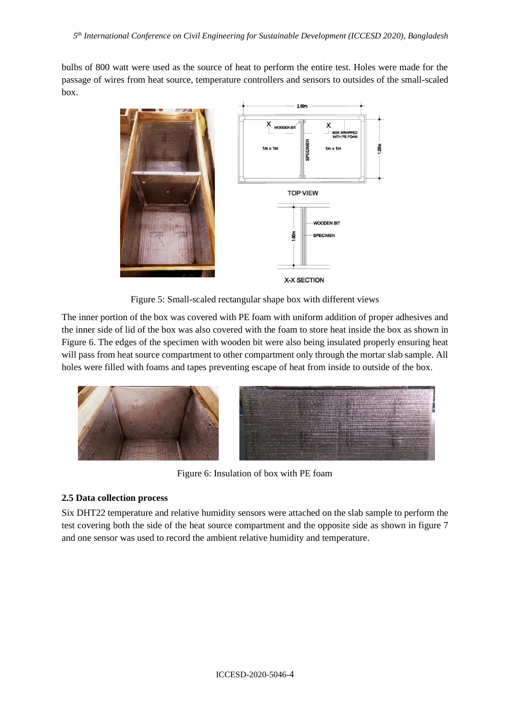bulbs of 800 watt were used as the source of heat to perform the entire test. Holes were made for the passage of wires from heat source, temperature controllers and sensors to outsides of the small-scaled box.



Figure 5: Small-scaled rectangular shape box with different views

The inner portion of the box was covered with PE foam with uniform addition of proper adhesives and the inner side of lid of the box was also covered with the foam to store heat inside the box as shown in Figure 6. The edges of the specimen with wooden bit were also being insulated properly ensuring heat will pass from heat source compartment to other compartment only through the mortar slab sample. All holes were filled with foams and tapes preventing escape of heat from inside to outside of the box.



Figure 6: Insulation of box with PE foam

# **2.5 Data collection process**

Six DHT22 temperature and relative humidity sensors were attached on the slab sample to perform the test covering both the side of the heat source compartment and the opposite side as shown in figure 7 and one sensor was used to record the ambient relative humidity and temperature.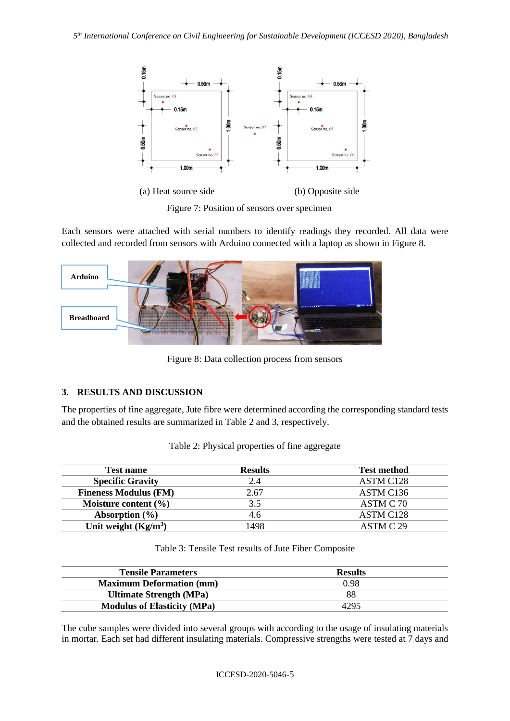

Figure 7: Position of sensors over specimen

Each sensors were attached with serial numbers to identify readings they recorded. All data were collected and recorded from sensors with Arduino connected with a laptop as shown in Figure 8.



Figure 8: Data collection process from sensors

# **3. RESULTS AND DISCUSSION**

The properties of fine aggregate, Jute fibre were determined according the corresponding standard tests and the obtained results are summarized in Table 2 and 3, respectively.

| <b>Test name</b>             | <b>Results</b> | <b>Test method</b>    |
|------------------------------|----------------|-----------------------|
| <b>Specific Gravity</b>      | 2.4            | ASTM C128             |
| <b>Fineness Modulus (FM)</b> | 2.67           | ASTM C <sub>136</sub> |
| Moisture content $(\% )$     | 3.5            | ASTM C 70             |
| Absorption $(\% )$           | 4.6            | ASTM C <sub>128</sub> |
| Unit weight $(Kg/m^3)$       | 498            | ASTM C 29             |

| Table 2: Physical properties of fine aggregate |  |  |
|------------------------------------------------|--|--|
|------------------------------------------------|--|--|

Table 3: Tensile Test results of Jute Fiber Composite

| <b>Tensile Parameters</b>          | <b>Results</b> |  |
|------------------------------------|----------------|--|
| <b>Maximum Deformation (mm)</b>    | 0.98           |  |
| <b>Ultimate Strength (MPa)</b>     | 88             |  |
| <b>Modulus of Elasticity (MPa)</b> | 4295           |  |

The cube samples were divided into several groups with according to the usage of insulating materials in mortar. Each set had different insulating materials. Compressive strengths were tested at 7 days and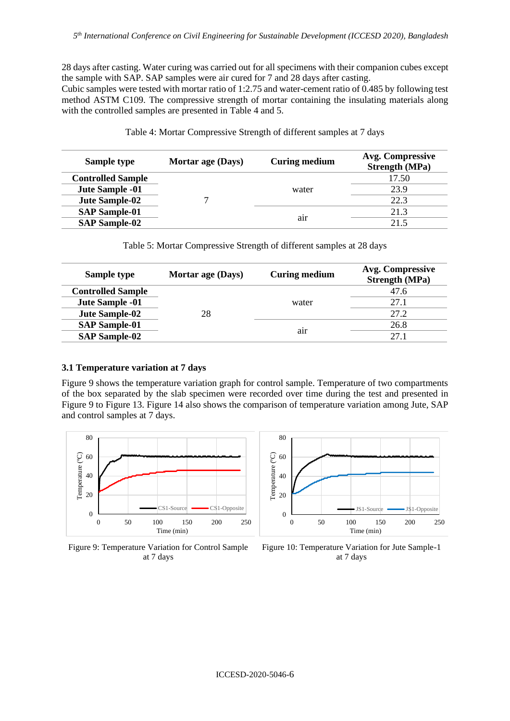28 days after casting. Water curing was carried out for all specimens with their companion cubes except the sample with SAP. SAP samples were air cured for 7 and 28 days after casting.

Cubic samples were tested with mortar ratio of 1:2.75 and water-cement ratio of 0.485 by following test method ASTM C109. The compressive strength of mortar containing the insulating materials along with the controlled samples are presented in Table 4 and 5.

| Sample type              | Mortar age (Days) | Curing medium | Avg. Compressive<br><b>Strength (MPa)</b> |
|--------------------------|-------------------|---------------|-------------------------------------------|
| <b>Controlled Sample</b> |                   | water         | 17.50                                     |
| Jute Sample -01          |                   |               | 23.9                                      |
| Jute Sample-02           |                   |               | 22.3                                      |
| <b>SAP Sample-01</b>     |                   | air           | 21.3                                      |
| <b>SAP Sample-02</b>     |                   |               | 21.5                                      |

Table 4: Mortar Compressive Strength of different samples at 7 days

Table 5: Mortar Compressive Strength of different samples at 28 days

| Sample type              | Mortar age (Days) | <b>Curing medium</b> | Avg. Compressive<br><b>Strength (MPa)</b> |
|--------------------------|-------------------|----------------------|-------------------------------------------|
| <b>Controlled Sample</b> | 28                | water                | 47.6                                      |
| Jute Sample -01          |                   |                      | 27.1                                      |
| Jute Sample-02           |                   |                      | 27.2                                      |
| <b>SAP Sample-01</b>     |                   | air                  | 26.8                                      |
| <b>SAP Sample-02</b>     |                   |                      | 27.1                                      |

### **3.1 Temperature variation at 7 days**

Figure 9 shows the temperature variation graph for control sample. Temperature of two compartments of the box separated by the slab specimen were recorded over time during the test and presented in Figure 9 to Figure 13. Figure 14 also shows the comparison of temperature variation among Jute, SAP and control samples at 7 days.



Figure 9: Temperature Variation for Control Sample at 7 days



Figure 10: Temperature Variation for Jute Sample-1 at 7 days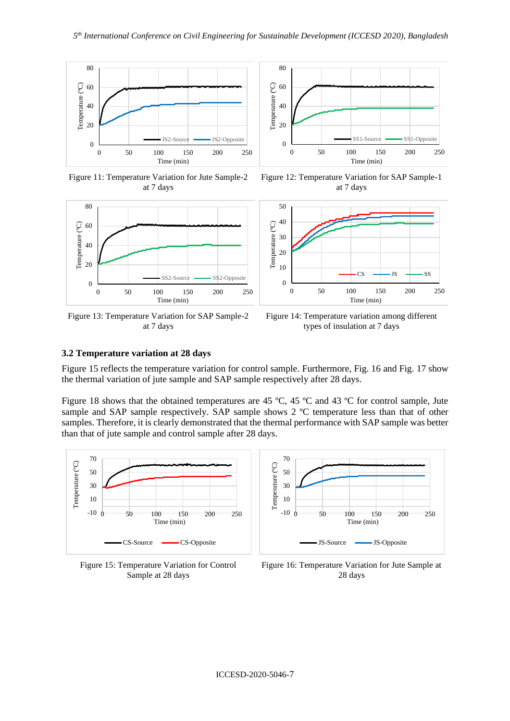





Figure 13: Temperature Variation for SAP Sample-2 at 7 days



Figure 12: Temperature Variation for SAP Sample-1 at 7 days



Figure 14: Temperature variation among different types of insulation at 7 days

### **3.2 Temperature variation at 28 days**

Figure 15 reflects the temperature variation for control sample. Furthermore, Fig. 16 and Fig. 17 show the thermal variation of jute sample and SAP sample respectively after 28 days.

Figure 18 shows that the obtained temperatures are 45 °C, 45 °C and 43 °C for control sample, Jute sample and SAP sample respectively. SAP sample shows 2 °C temperature less than that of other samples. Therefore, it is clearly demonstrated that the thermal performance with SAP sample was better than that of jute sample and control sample after 28 days.



Figure 15: Temperature Variation for Control Sample at 28 days



Figure 16: Temperature Variation for Jute Sample at 28 days